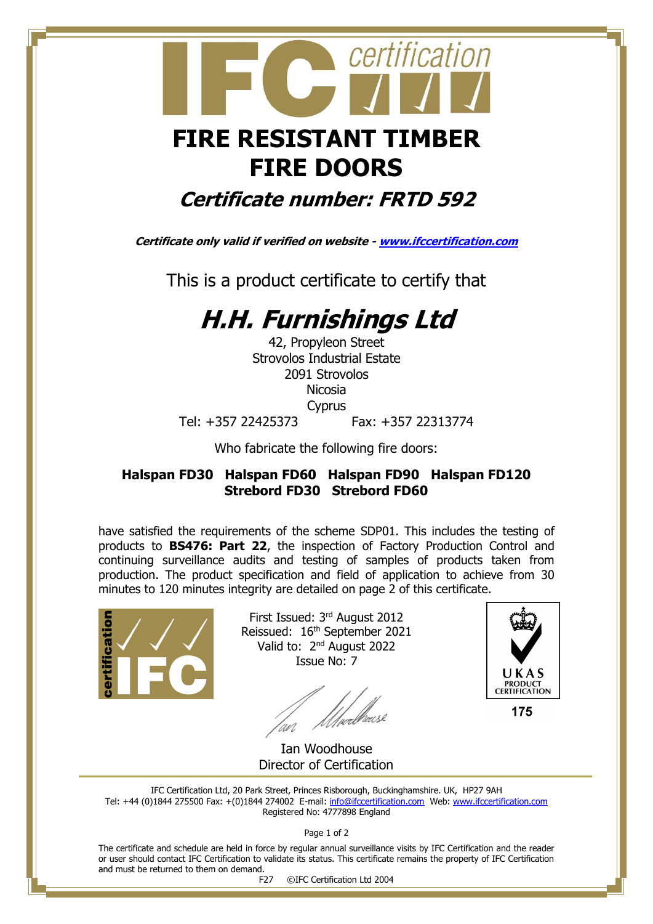# certification  **FIRE RESISTANT TIMBER FIRE DOORS**

### **Certificate number: FRTD 592**

**Certificate only valid if verified on website - [www.ifccertification.com](http://www.ifccertification.com/)**

This is a product certificate to certify that

## **H.H. Furnishings Ltd**

42, Propyleon Street Strovolos Industrial Estate 2091 Strovolos Nicosia Cyprus Tel: +357 22425373 Fax: +357 22313774

Who fabricate the following fire doors:

#### **Halspan FD30 Halspan FD60 Halspan FD90 Halspan FD120 Strebord FD30 Strebord FD60**

have satisfied the requirements of the scheme SDP01. This includes the testing of products to **BS476: Part 22**, the inspection of Factory Production Control and continuing surveillance audits and testing of samples of products taken from production. The product specification and field of application to achieve from 30 minutes to 120 minutes integrity are detailed on page 2 of this certificate.



First Issued: 3<sup>rd</sup> August 2012 Reissued: 16th September 2021 Valid to: 2<sup>nd</sup> August 2022 Issue No: 7

*Ulve*dhease an<br>'



175

 Ian Woodhouse Director of Certification

IFC Certification Ltd, 20 Park Street, Princes Risborough, Buckinghamshire. UK, HP27 9AH Tel: +44 (0)1844 275500 Fax: +(0)1844 274002 E-mail[: info@ifccertification.com](mailto:info@ifccertification.com) Web: [www.ifccertification.com](http://www.ifccertification.com/) Registered No: 4777898 England

Page 1 of 2

The certificate and schedule are held in force by regular annual surveillance visits by IFC Certification and the reader or user should contact IFC Certification to validate its status. This certificate remains the property of IFC Certification and must be returned to them on demand.

F27 ©IFC Certification Ltd 2004